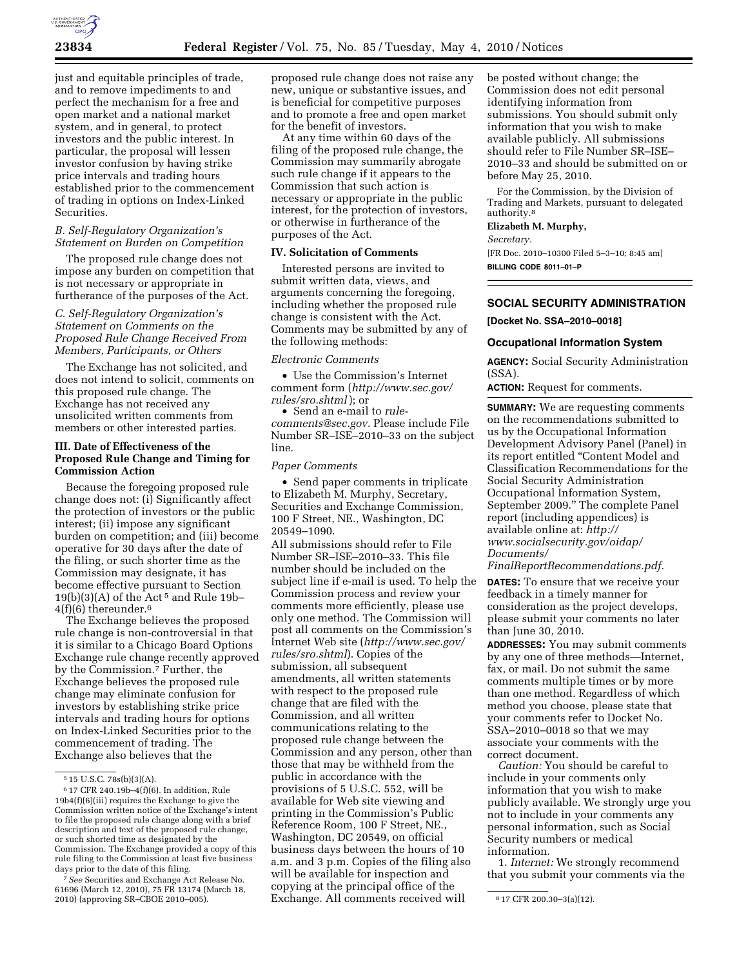

just and equitable principles of trade, and to remove impediments to and perfect the mechanism for a free and open market and a national market system, and in general, to protect investors and the public interest. In particular, the proposal will lessen investor confusion by having strike price intervals and trading hours established prior to the commencement of trading in options on Index-Linked Securities.

#### *B. Self-Regulatory Organization's Statement on Burden on Competition*

The proposed rule change does not impose any burden on competition that is not necessary or appropriate in furtherance of the purposes of the Act.

## *C. Self-Regulatory Organization's Statement on Comments on the Proposed Rule Change Received From Members, Participants, or Others*

The Exchange has not solicited, and does not intend to solicit, comments on this proposed rule change. The Exchange has not received any unsolicited written comments from members or other interested parties.

#### **III. Date of Effectiveness of the Proposed Rule Change and Timing for Commission Action**

Because the foregoing proposed rule change does not: (i) Significantly affect the protection of investors or the public interest; (ii) impose any significant burden on competition; and (iii) become operative for 30 days after the date of the filing, or such shorter time as the Commission may designate, it has become effective pursuant to Section  $19(b)(3)(A)$  of the Act<sup>5</sup> and Rule 19b-4(f)(6) thereunder.6

The Exchange believes the proposed rule change is non-controversial in that it is similar to a Chicago Board Options Exchange rule change recently approved by the Commission.7 Further, the Exchange believes the proposed rule change may eliminate confusion for investors by establishing strike price intervals and trading hours for options on Index-Linked Securities prior to the commencement of trading. The Exchange also believes that the

7*See* Securities and Exchange Act Release No. 61696 (March 12, 2010), 75 FR 13174 (March 18, 2010) (approving SR–CBOE 2010–005). 8 17 CFR 200.30–3(a)(12). Exchange. All comments received will

proposed rule change does not raise any new, unique or substantive issues, and is beneficial for competitive purposes and to promote a free and open market for the benefit of investors.

At any time within 60 days of the filing of the proposed rule change, the Commission may summarily abrogate such rule change if it appears to the Commission that such action is necessary or appropriate in the public interest, for the protection of investors, or otherwise in furtherance of the purposes of the Act.

### **IV. Solicitation of Comments**

Interested persons are invited to submit written data, views, and arguments concerning the foregoing, including whether the proposed rule change is consistent with the Act. Comments may be submitted by any of the following methods:

#### *Electronic Comments*

• Use the Commission's Internet comment form (*http://www.sec.gov/ rules/sro.shtml*); or

• Send an e-mail to *rulecomments@sec.gov.* Please include File Number SR–ISE–2010–33 on the subject line.

#### *Paper Comments*

• Send paper comments in triplicate to Elizabeth M. Murphy, Secretary, Securities and Exchange Commission, 100 F Street, NE., Washington, DC 20549–1090.

All submissions should refer to File Number SR–ISE–2010–33. This file number should be included on the subject line if e-mail is used. To help the Commission process and review your comments more efficiently, please use only one method. The Commission will post all comments on the Commission's Internet Web site (*http://www.sec.gov/ rules/sro.shtml*). Copies of the submission, all subsequent amendments, all written statements with respect to the proposed rule change that are filed with the Commission, and all written communications relating to the proposed rule change between the Commission and any person, other than those that may be withheld from the public in accordance with the provisions of 5 U.S.C. 552, will be available for Web site viewing and printing in the Commission's Public Reference Room, 100 F Street, NE., Washington, DC 20549, on official business days between the hours of 10 a.m. and 3 p.m. Copies of the filing also will be available for inspection and copying at the principal office of the

be posted without change; the Commission does not edit personal identifying information from submissions. You should submit only information that you wish to make available publicly. All submissions should refer to File Number SR–ISE– 2010–33 and should be submitted on or before May 25, 2010.

For the Commission, by the Division of Trading and Markets, pursuant to delegated authority.8

# **Elizabeth M. Murphy,**

*Secretary.* 

[FR Doc. 2010–10300 Filed 5–3–10; 8:45 am] **BILLING CODE 8011–01–P** 

## **SOCIAL SECURITY ADMINISTRATION**

**[Docket No. SSA–2010–0018]** 

#### **Occupational Information System**

**AGENCY:** Social Security Administration (SSA).

**ACTION:** Request for comments.

**SUMMARY:** We are requesting comments on the recommendations submitted to us by the Occupational Information Development Advisory Panel (Panel) in its report entitled ''Content Model and Classification Recommendations for the Social Security Administration Occupational Information System, September 2009.'' The complete Panel report (including appendices) is available online at: *http:// www.socialsecurity.gov/oidap/ Documents/* 

*FinalReportRecommendations.pdf.* 

**DATES:** To ensure that we receive your feedback in a timely manner for consideration as the project develops, please submit your comments no later than June 30, 2010.

**ADDRESSES:** You may submit comments by any one of three methods—Internet, fax, or mail. Do not submit the same comments multiple times or by more than one method. Regardless of which method you choose, please state that your comments refer to Docket No. SSA–2010–0018 so that we may associate your comments with the correct document.

*Caution:* You should be careful to include in your comments only information that you wish to make publicly available. We strongly urge you not to include in your comments any personal information, such as Social Security numbers or medical information.

1. *Internet:* We strongly recommend that you submit your comments via the

<sup>5</sup> 15 U.S.C. 78s(b)(3)(A).

 $^6$  17 CFR 240.19b–4(f)(6). In addition, Rule 19b4(f)(6)(iii) requires the Exchange to give the Commission written notice of the Exchange's intent to file the proposed rule change along with a brief description and text of the proposed rule change, or such shorted time as designated by the Commission. The Exchange provided a copy of this rule filing to the Commission at least five business days prior to the date of this filing.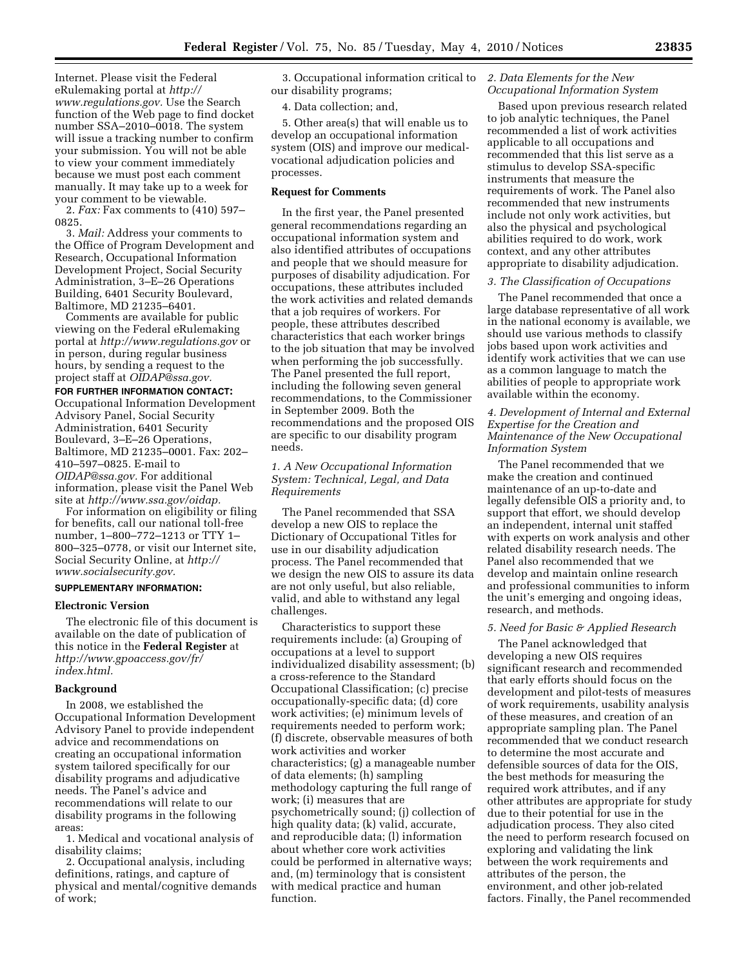Internet. Please visit the Federal eRulemaking portal at *http:// www.regulations.gov.* Use the Search function of the Web page to find docket number SSA–2010–0018. The system will issue a tracking number to confirm your submission. You will not be able to view your comment immediately because we must post each comment manually. It may take up to a week for your comment to be viewable.

2. *Fax:* Fax comments to (410) 597– 0825.

3. *Mail:* Address your comments to the Office of Program Development and Research, Occupational Information Development Project, Social Security Administration, 3–E–26 Operations Building, 6401 Security Boulevard, Baltimore, MD 21235–6401.

Comments are available for public viewing on the Federal eRulemaking portal at *http://www.regulations.gov* or in person, during regular business hours, by sending a request to the project staff at *OIDAP@ssa.gov.* 

#### **FOR FURTHER INFORMATION CONTACT:**

Occupational Information Development Advisory Panel, Social Security Administration, 6401 Security Boulevard, 3–E–26 Operations, Baltimore, MD 21235–0001. Fax: 202– 410–597–0825. E-mail to *OIDAP@ssa.gov.* For additional information, please visit the Panel Web site at *http://www.ssa.gov/oidap.* 

For information on eligibility or filing for benefits, call our national toll-free number, 1–800–772–1213 or TTY 1– 800–325–0778, or visit our Internet site, Social Security Online, at *http:// www.socialsecurity.gov.* 

## **SUPPLEMENTARY INFORMATION:**

#### **Electronic Version**

The electronic file of this document is available on the date of publication of this notice in the **Federal Register** at *http://www.gpoaccess.gov/fr/ index.html.* 

#### **Background**

In 2008, we established the Occupational Information Development Advisory Panel to provide independent advice and recommendations on creating an occupational information system tailored specifically for our disability programs and adjudicative needs. The Panel's advice and recommendations will relate to our disability programs in the following areas:

1. Medical and vocational analysis of disability claims;

2. Occupational analysis, including definitions, ratings, and capture of physical and mental/cognitive demands of work;

3. Occupational information critical to our disability programs;

4. Data collection; and,

5. Other area(s) that will enable us to develop an occupational information system (OIS) and improve our medicalvocational adjudication policies and processes.

## **Request for Comments**

In the first year, the Panel presented general recommendations regarding an occupational information system and also identified attributes of occupations and people that we should measure for purposes of disability adjudication. For occupations, these attributes included the work activities and related demands that a job requires of workers. For people, these attributes described characteristics that each worker brings to the job situation that may be involved when performing the job successfully. The Panel presented the full report, including the following seven general recommendations, to the Commissioner in September 2009. Both the recommendations and the proposed OIS are specific to our disability program needs.

## *1. A New Occupational Information System: Technical, Legal, and Data Requirements*

The Panel recommended that SSA develop a new OIS to replace the Dictionary of Occupational Titles for use in our disability adjudication process. The Panel recommended that we design the new OIS to assure its data are not only useful, but also reliable, valid, and able to withstand any legal challenges.

Characteristics to support these requirements include: (a) Grouping of occupations at a level to support individualized disability assessment; (b) a cross-reference to the Standard Occupational Classification; (c) precise occupationally-specific data; (d) core work activities; (e) minimum levels of requirements needed to perform work; (f) discrete, observable measures of both work activities and worker characteristics; (g) a manageable number of data elements; (h) sampling methodology capturing the full range of work; (i) measures that are psychometrically sound; (j) collection of high quality data; (k) valid, accurate, and reproducible data; (l) information about whether core work activities could be performed in alternative ways; and, (m) terminology that is consistent with medical practice and human function.

### *2. Data Elements for the New Occupational Information System*

Based upon previous research related to job analytic techniques, the Panel recommended a list of work activities applicable to all occupations and recommended that this list serve as a stimulus to develop SSA-specific instruments that measure the requirements of work. The Panel also recommended that new instruments include not only work activities, but also the physical and psychological abilities required to do work, work context, and any other attributes appropriate to disability adjudication.

## *3. The Classification of Occupations*

The Panel recommended that once a large database representative of all work in the national economy is available, we should use various methods to classify jobs based upon work activities and identify work activities that we can use as a common language to match the abilities of people to appropriate work available within the economy.

## *4. Development of Internal and External Expertise for the Creation and Maintenance of the New Occupational Information System*

The Panel recommended that we make the creation and continued maintenance of an up-to-date and legally defensible OIS a priority and, to support that effort, we should develop an independent, internal unit staffed with experts on work analysis and other related disability research needs. The Panel also recommended that we develop and maintain online research and professional communities to inform the unit's emerging and ongoing ideas, research, and methods.

# *5. Need for Basic & Applied Research*

The Panel acknowledged that developing a new OIS requires significant research and recommended that early efforts should focus on the development and pilot-tests of measures of work requirements, usability analysis of these measures, and creation of an appropriate sampling plan. The Panel recommended that we conduct research to determine the most accurate and defensible sources of data for the OIS, the best methods for measuring the required work attributes, and if any other attributes are appropriate for study due to their potential for use in the adjudication process. They also cited the need to perform research focused on exploring and validating the link between the work requirements and attributes of the person, the environment, and other job-related factors. Finally, the Panel recommended